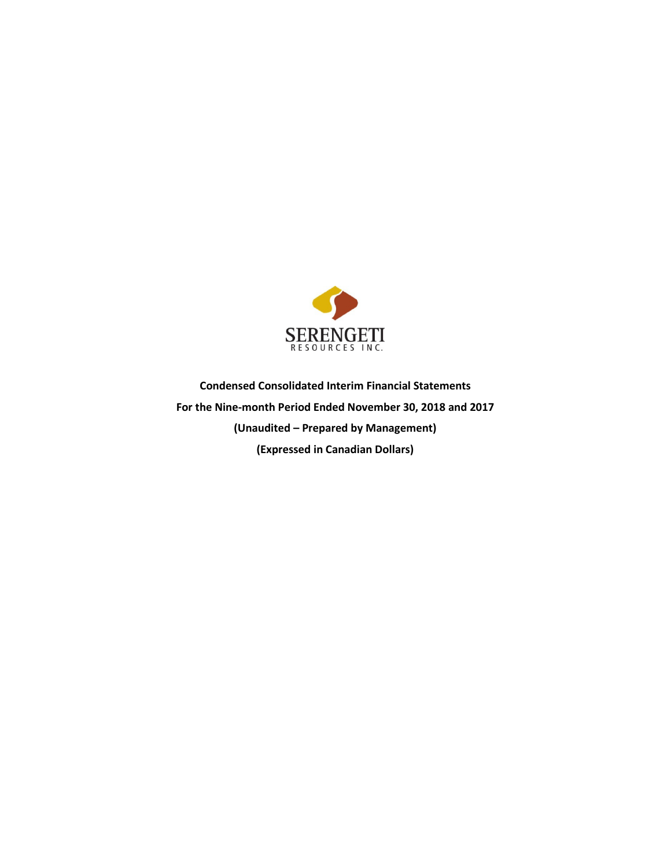

**Condensed Consolidated Interim Financial Statements For the Nine-month Period Ended November 30, 2018 and 2017 (Unaudited – Prepared by Management) (Expressed in Canadian Dollars)**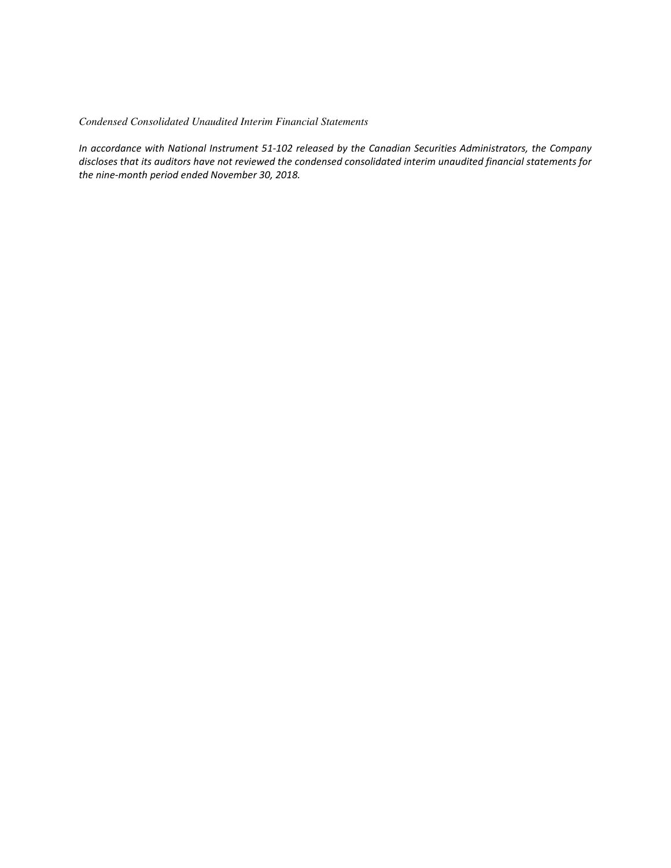# *Condensed Consolidated Unaudited Interim Financial Statements*

*In accordance with National Instrument 51-102 released by the Canadian Securities Administrators, the Company discloses that its auditors have not reviewed the condensed consolidated interim unaudited financial statements for the nine-month period ended November 30, 2018.*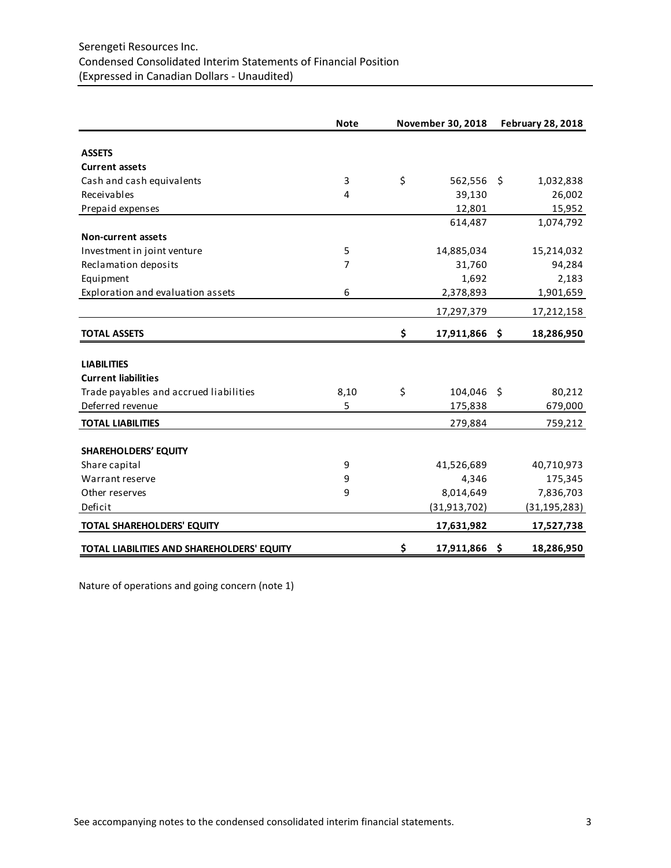# Serengeti Resources Inc. Condensed Consolidated Interim Statements of Financial Position (Expressed in Canadian Dollars - Unaudited)

|                                            | <b>Note</b> | November 30, 2018   | <b>February 28, 2018</b> |
|--------------------------------------------|-------------|---------------------|--------------------------|
|                                            |             |                     |                          |
| <b>ASSETS</b>                              |             |                     |                          |
| <b>Current assets</b>                      |             |                     |                          |
| Cash and cash equivalents                  | 3           | \$<br>562,556       | \$<br>1,032,838          |
| Receivables                                | 4           | 39,130              | 26,002                   |
| Prepaid expenses                           |             | 12,801              | 15,952                   |
|                                            |             | 614,487             | 1,074,792                |
| <b>Non-current assets</b>                  |             |                     |                          |
| Investment in joint venture                | 5           | 14,885,034          | 15,214,032               |
| Reclamation deposits                       | 7           | 31,760              | 94,284                   |
| Equipment                                  |             | 1,692               | 2,183                    |
| Exploration and evaluation assets          | 6           | 2,378,893           | 1,901,659                |
|                                            |             | 17,297,379          | 17,212,158               |
| <b>TOTAL ASSETS</b>                        |             | \$<br>17,911,866 \$ | 18,286,950               |
| <b>LIABILITIES</b>                         |             |                     |                          |
| <b>Current liabilities</b>                 |             |                     |                          |
| Trade payables and accrued liabilities     |             | \$<br>104,046 \$    | 80,212                   |
| Deferred revenue                           | 8,10<br>5   |                     |                          |
|                                            |             | 175,838             | 679,000                  |
| <b>TOTAL LIABILITIES</b>                   |             | 279,884             | 759,212                  |
| <b>SHAREHOLDERS' EQUITY</b>                |             |                     |                          |
| Share capital                              | 9           | 41,526,689          | 40,710,973               |
| Warrant reserve                            | 9           | 4,346               | 175,345                  |
| Other reserves                             | 9           | 8,014,649           | 7,836,703                |
| Deficit                                    |             | (31, 913, 702)      | (31, 195, 283)           |
| TOTAL SHAREHOLDERS' EQUITY                 |             | 17,631,982          | 17,527,738               |
| TOTAL LIABILITIES AND SHAREHOLDERS' EQUITY |             | \$<br>17,911,866    | \$<br>18,286,950         |

Nature of operations and going concern (note 1)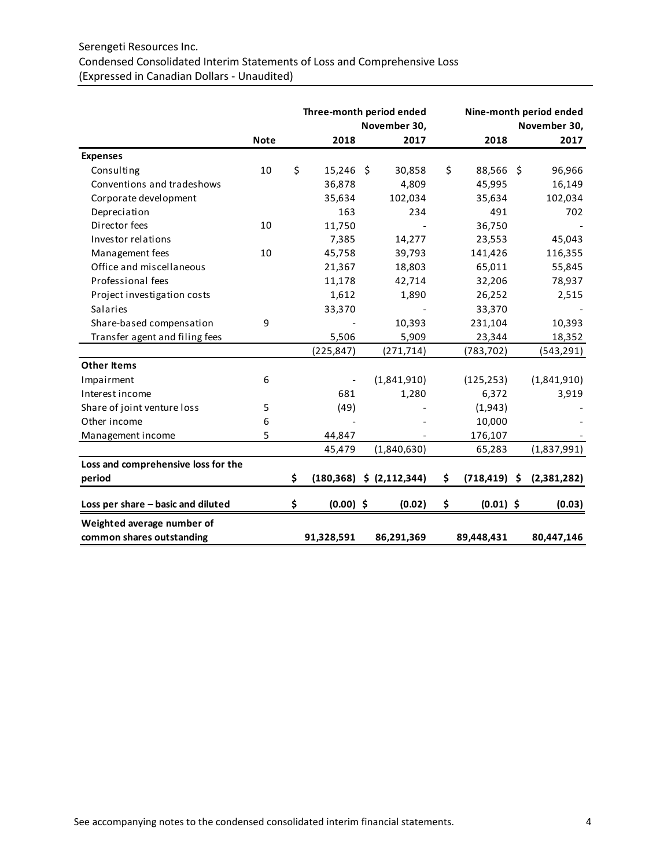# Serengeti Resources Inc. Condensed Consolidated Interim Statements of Loss and Comprehensive Loss (Expressed in Canadian Dollars - Unaudited)

|                                     |             | Three-month period ended |             |  |                              |                       | Nine-month period ended |                      |  |
|-------------------------------------|-------------|--------------------------|-------------|--|------------------------------|-----------------------|-------------------------|----------------------|--|
|                                     | <b>Note</b> |                          | 2018        |  | November 30,<br>2017         | 2018                  |                         | November 30,<br>2017 |  |
|                                     |             |                          |             |  |                              |                       |                         |                      |  |
| <b>Expenses</b>                     |             |                          |             |  |                              |                       |                         |                      |  |
| Consulting                          | 10          | \$                       | 15,246 \$   |  | 30,858                       | \$<br>88,566 \$       |                         | 96,966               |  |
| Conventions and tradeshows          |             |                          | 36,878      |  | 4,809                        | 45,995                |                         | 16,149               |  |
| Corporate development               |             |                          | 35,634      |  | 102,034                      | 35,634                |                         | 102,034              |  |
| Depreciation                        |             |                          | 163         |  | 234                          | 491                   |                         | 702                  |  |
| Director fees                       | 10          |                          | 11,750      |  |                              | 36,750                |                         |                      |  |
| Investor relations                  |             |                          | 7,385       |  | 14,277                       | 23,553                |                         | 45,043               |  |
| Management fees                     | 10          |                          | 45,758      |  | 39,793                       | 141,426               |                         | 116,355              |  |
| Office and miscellaneous            |             |                          | 21,367      |  | 18,803                       | 65,011                |                         | 55,845               |  |
| Professional fees                   |             |                          | 11,178      |  | 42,714                       | 32,206                |                         | 78,937               |  |
| Project investigation costs         |             |                          | 1,612       |  | 1,890                        | 26,252                |                         | 2,515                |  |
| Salaries                            |             |                          | 33,370      |  |                              | 33,370                |                         |                      |  |
| Share-based compensation            | 9           |                          |             |  | 10,393                       | 231,104               |                         | 10,393               |  |
| Transfer agent and filing fees      |             |                          | 5,506       |  | 5,909                        | 23,344                |                         | 18,352               |  |
|                                     |             |                          | (225, 847)  |  | (271, 714)                   | (783, 702)            |                         | (543, 291)           |  |
| <b>Other Items</b>                  |             |                          |             |  |                              |                       |                         |                      |  |
| Impairment                          | 6           |                          |             |  | (1,841,910)                  | (125, 253)            |                         | (1,841,910)          |  |
| Interest income                     |             |                          | 681         |  | 1,280                        | 6,372                 |                         | 3,919                |  |
| Share of joint venture loss         | 5           |                          | (49)        |  |                              | (1,943)               |                         |                      |  |
| Other income                        | 6           |                          |             |  |                              | 10,000                |                         |                      |  |
| Management income                   | 5           |                          | 44,847      |  |                              | 176,107               |                         |                      |  |
|                                     |             |                          | 45,479      |  | (1,840,630)                  | 65,283                |                         | (1,837,991)          |  |
| Loss and comprehensive loss for the |             |                          |             |  |                              |                       |                         |                      |  |
| period                              |             | Ś                        |             |  | $(180,368)$ \$ $(2,112,344)$ | \$<br>$(718, 419)$ \$ |                         | (2,381,282)          |  |
| Loss per share - basic and diluted  |             | \$                       | $(0.00)$ \$ |  | (0.02)                       | \$<br>$(0.01)$ \$     |                         | (0.03)               |  |
| Weighted average number of          |             |                          |             |  |                              |                       |                         |                      |  |
| common shares outstanding           |             |                          | 91,328,591  |  | 86,291,369                   | 89,448,431            |                         | 80,447,146           |  |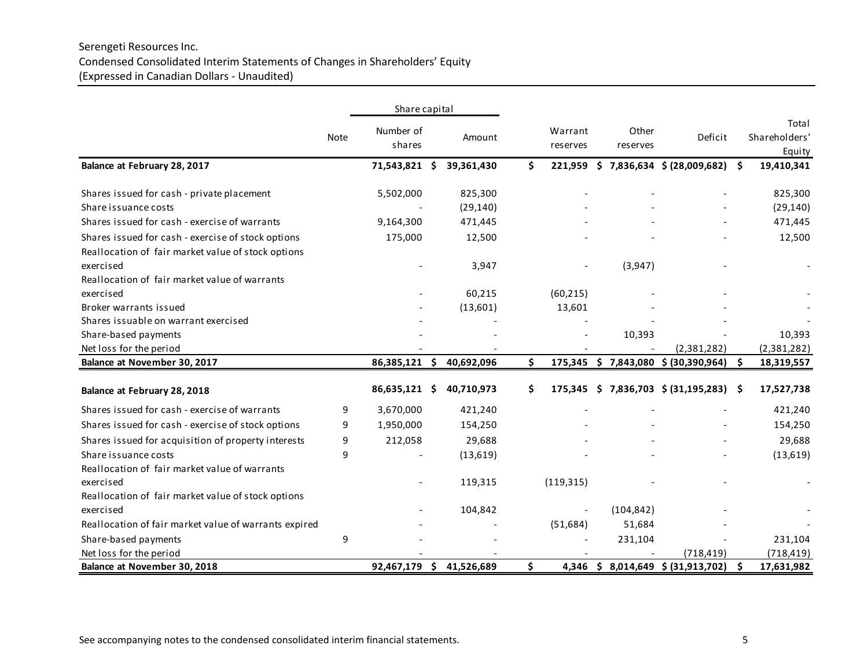# Serengeti Resources Inc. Condensed Consolidated Interim Statements of Changes in Shareholders' Equity (Expressed in Canadian Dollars - Unaudited)

|                                                       |      | Share capital       |    |                          |    |                     |                   |                                         |    |                                  |
|-------------------------------------------------------|------|---------------------|----|--------------------------|----|---------------------|-------------------|-----------------------------------------|----|----------------------------------|
|                                                       | Note | Number of<br>shares |    | Amount                   |    | Warrant<br>reserves | Other<br>reserves | Deficit                                 |    | Total<br>Shareholders'<br>Equity |
| Balance at February 28, 2017                          |      | 71,543,821          | -Ś | 39,361,430               | Ś. | 221,959             |                   | $$7,836,634$ $$ (28,009,682)$           | Ŝ. | 19,410,341                       |
| Shares issued for cash - private placement            |      | 5,502,000           |    | 825,300                  |    |                     |                   |                                         |    | 825,300                          |
| Share issuance costs                                  |      |                     |    | (29, 140)                |    |                     |                   |                                         |    | (29, 140)                        |
| Shares issued for cash - exercise of warrants         |      | 9,164,300           |    | 471,445                  |    |                     |                   |                                         |    | 471,445                          |
| Shares issued for cash - exercise of stock options    |      | 175,000             |    | 12,500                   |    |                     |                   |                                         |    | 12,500                           |
| Reallocation of fair market value of stock options    |      |                     |    |                          |    |                     |                   |                                         |    |                                  |
| exercised                                             |      |                     |    | 3,947                    |    |                     | (3,947)           |                                         |    |                                  |
| Reallocation of fair market value of warrants         |      |                     |    |                          |    |                     |                   |                                         |    |                                  |
| exercised                                             |      |                     |    | 60,215                   |    | (60, 215)           |                   |                                         |    |                                  |
| Broker warrants issued                                |      |                     |    | (13,601)                 |    | 13,601              |                   |                                         |    |                                  |
| Shares issuable on warrant exercised                  |      |                     |    |                          |    |                     |                   |                                         |    |                                  |
| Share-based payments                                  |      |                     |    |                          |    |                     | 10,393            |                                         |    | 10,393                           |
| Net loss for the period                               |      |                     |    |                          |    |                     |                   | (2,381,282)                             |    | (2,381,282)                      |
| Balance at November 30, 2017                          |      | 86,385,121 \$       |    | 40,692,096               | Ś. | 175,345             |                   | $$7,843,080$ $$ (30,390,964)$           | Ŝ. | 18,319,557                       |
| Balance at February 28, 2018                          |      | 86,635,121 \$       |    | 40,710,973               | Ś. |                     |                   | 175,345 \$ 7,836,703 \$ (31,195,283) \$ |    | 17,527,738                       |
| Shares issued for cash - exercise of warrants         | 9    | 3,670,000           |    | 421,240                  |    |                     |                   |                                         |    | 421,240                          |
| Shares issued for cash - exercise of stock options    | 9    | 1,950,000           |    | 154,250                  |    |                     |                   |                                         |    | 154,250                          |
| Shares issued for acquisition of property interests   | 9    | 212,058             |    | 29,688                   |    |                     |                   |                                         |    | 29,688                           |
| Share issuance costs                                  | 9    |                     |    | (13,619)                 |    |                     |                   |                                         |    | (13,619)                         |
| Reallocation of fair market value of warrants         |      |                     |    |                          |    |                     |                   |                                         |    |                                  |
| exercised                                             |      |                     |    | 119,315                  |    | (119, 315)          |                   |                                         |    |                                  |
| Reallocation of fair market value of stock options    |      |                     |    |                          |    |                     |                   |                                         |    |                                  |
| exercised                                             |      |                     |    | 104,842                  |    |                     | (104, 842)        |                                         |    |                                  |
| Reallocation of fair market value of warrants expired |      |                     |    |                          |    | (51, 684)           | 51,684            |                                         |    |                                  |
| Share-based payments                                  | 9    |                     |    |                          |    |                     | 231,104           |                                         |    | 231,104                          |
| Net loss for the period                               |      |                     |    |                          |    |                     |                   | (718, 419)                              |    | (718, 419)                       |
| Balance at November 30, 2018                          |      |                     |    | 92,467,179 \$ 41,526,689 | \$ |                     |                   | 4,346 \$ 8,014,649 \$ (31,913,702)      | \$ | 17,631,982                       |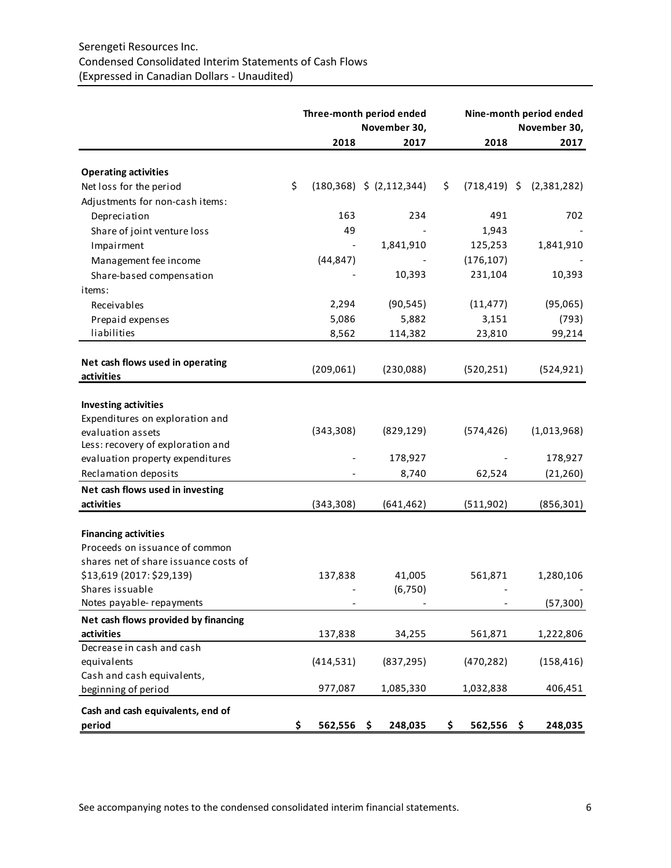# Serengeti Resources Inc. Condensed Consolidated Interim Statements of Cash Flows (Expressed in Canadian Dollars - Unaudited)

|                                       |                  | Three-month period ended<br>November 30,                                                                                                                                           |  |            | Nine-month period ended<br>November 30, |
|---------------------------------------|------------------|------------------------------------------------------------------------------------------------------------------------------------------------------------------------------------|--|------------|-----------------------------------------|
|                                       | 2018             | 2017                                                                                                                                                                               |  | 2018       | 2017                                    |
|                                       |                  |                                                                                                                                                                                    |  |            |                                         |
| <b>Operating activities</b>           |                  |                                                                                                                                                                                    |  |            |                                         |
| Net loss for the period               | \$               |                                                                                                                                                                                    |  |            | $(718, 419)$ \$ $(2, 381, 282)$         |
| Adjustments for non-cash items:       |                  |                                                                                                                                                                                    |  |            |                                         |
| Depreciation                          | 163              |                                                                                                                                                                                    |  | 491        | 702                                     |
| Share of joint venture loss           | 49               |                                                                                                                                                                                    |  | 1,943      |                                         |
| Impairment                            |                  | 1,841,910                                                                                                                                                                          |  | 125,253    | 1,841,910                               |
| Management fee income                 | (44, 847)        |                                                                                                                                                                                    |  | (176, 107) |                                         |
| Share-based compensation              |                  | 10,393                                                                                                                                                                             |  | 231,104    | 10,393                                  |
| items:                                |                  |                                                                                                                                                                                    |  |            |                                         |
| Receivables                           | 2,294            | (90, 545)                                                                                                                                                                          |  | (11, 477)  | (95,065)                                |
| Prepaid expenses                      | 5,086            | 5,882                                                                                                                                                                              |  | 3,151      | (793)                                   |
| liabilities                           | 8,562            | 114,382                                                                                                                                                                            |  | 23,810     | 99,214                                  |
|                                       |                  |                                                                                                                                                                                    |  |            |                                         |
| Net cash flows used in operating      |                  |                                                                                                                                                                                    |  |            |                                         |
| activities                            | (209,061)        |                                                                                                                                                                                    |  |            | (524, 921)                              |
|                                       |                  |                                                                                                                                                                                    |  |            |                                         |
| <b>Investing activities</b>           |                  |                                                                                                                                                                                    |  |            |                                         |
| Expenditures on exploration and       |                  |                                                                                                                                                                                    |  |            |                                         |
| evaluation assets                     | (343,308)        |                                                                                                                                                                                    |  | (574, 426) | (1,013,968)                             |
| Less: recovery of exploration and     |                  |                                                                                                                                                                                    |  |            |                                         |
| evaluation property expenditures      |                  |                                                                                                                                                                                    |  |            | 178,927                                 |
| Reclamation deposits                  |                  |                                                                                                                                                                                    |  | 62,524     | (21, 260)                               |
| Net cash flows used in investing      |                  |                                                                                                                                                                                    |  |            |                                         |
| activities                            | (343,308)        | (641, 462)                                                                                                                                                                         |  | (511,902)  | (856, 301)                              |
|                                       |                  |                                                                                                                                                                                    |  |            |                                         |
| <b>Financing activities</b>           |                  |                                                                                                                                                                                    |  |            |                                         |
| Proceeds on issuance of common        |                  | $(180,368)$ \$ $(2,112,344)$<br>\$<br>234<br>(230,088)<br>(520, 251)<br>(829, 129)<br>178,927<br>8,740<br>41,005<br>(6, 750)<br>34,255<br>(837, 295)<br>1,085,330<br>248,035<br>\$ |  |            |                                         |
| shares net of share issuance costs of |                  |                                                                                                                                                                                    |  |            |                                         |
| \$13,619 (2017: \$29,139)             | 137,838          |                                                                                                                                                                                    |  | 561,871    | 1,280,106                               |
| Shares issuable                       |                  |                                                                                                                                                                                    |  |            |                                         |
| Notes payable-repayments              |                  |                                                                                                                                                                                    |  |            | (57, 300)                               |
| Net cash flows provided by financing  |                  |                                                                                                                                                                                    |  |            |                                         |
| activities                            | 137,838          |                                                                                                                                                                                    |  | 561,871    | 1,222,806                               |
| Decrease in cash and cash             |                  |                                                                                                                                                                                    |  |            |                                         |
| equivalents                           | (414, 531)       |                                                                                                                                                                                    |  | (470, 282) | (158, 416)                              |
| Cash and cash equivalents,            |                  |                                                                                                                                                                                    |  |            |                                         |
| beginning of period                   | 977,087          |                                                                                                                                                                                    |  | 1,032,838  | 406,451                                 |
| Cash and cash equivalents, end of     |                  |                                                                                                                                                                                    |  |            |                                         |
| period                                | \$<br>562,556 \$ |                                                                                                                                                                                    |  | 562,556 \$ | 248,035                                 |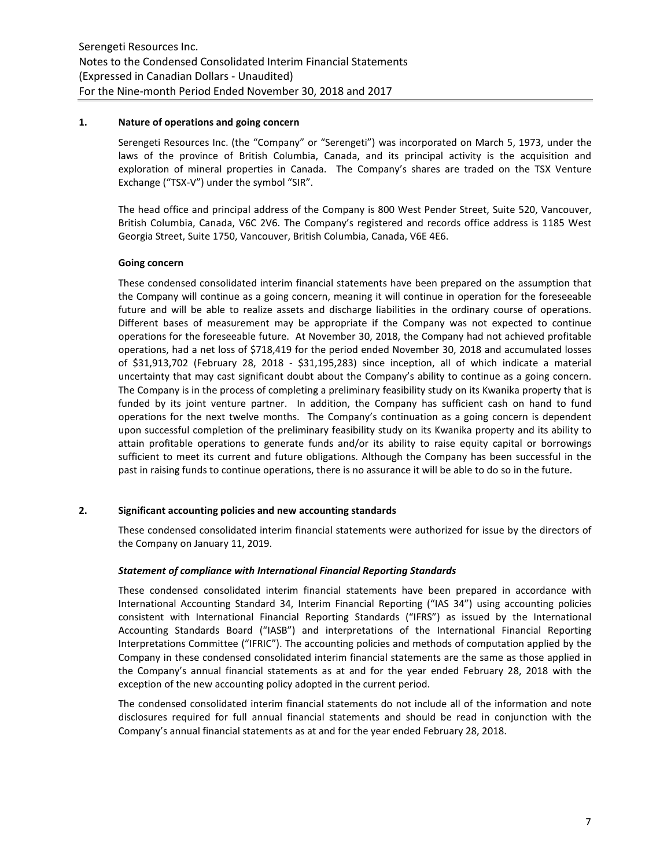## **1. Nature of operations and going concern**

Serengeti Resources Inc. (the "Company" or "Serengeti") was incorporated on March 5, 1973, under the laws of the province of British Columbia, Canada, and its principal activity is the acquisition and exploration of mineral properties in Canada. The Company's shares are traded on the TSX Venture Exchange ("TSX-V") under the symbol "SIR".

The head office and principal address of the Company is 800 West Pender Street, Suite 520, Vancouver, British Columbia, Canada, V6C 2V6. The Company's registered and records office address is 1185 West Georgia Street, Suite 1750, Vancouver, British Columbia, Canada, V6E 4E6.

# **Going concern**

These condensed consolidated interim financial statements have been prepared on the assumption that the Company will continue as a going concern, meaning it will continue in operation for the foreseeable future and will be able to realize assets and discharge liabilities in the ordinary course of operations. Different bases of measurement may be appropriate if the Company was not expected to continue operations for the foreseeable future. At November 30, 2018, the Company had not achieved profitable operations, had a net loss of \$718,419 for the period ended November 30, 2018 and accumulated losses of \$31,913,702 (February 28, 2018 - \$31,195,283) since inception, all of which indicate a material uncertainty that may cast significant doubt about the Company's ability to continue as a going concern. The Company is in the process of completing a preliminary feasibility study on its Kwanika property that is funded by its joint venture partner. In addition, the Company has sufficient cash on hand to fund operations for the next twelve months. The Company's continuation as a going concern is dependent upon successful completion of the preliminary feasibility study on its Kwanika property and its ability to attain profitable operations to generate funds and/or its ability to raise equity capital or borrowings sufficient to meet its current and future obligations. Although the Company has been successful in the past in raising funds to continue operations, there is no assurance it will be able to do so in the future.

# **2. Significant accounting policies and new accounting standards**

These condensed consolidated interim financial statements were authorized for issue by the directors of the Company on January 11, 2019.

# *Statement of compliance with International Financial Reporting Standards*

These condensed consolidated interim financial statements have been prepared in accordance with International Accounting Standard 34, Interim Financial Reporting ("IAS 34") using accounting policies consistent with International Financial Reporting Standards ("IFRS") as issued by the International Accounting Standards Board ("IASB") and interpretations of the International Financial Reporting Interpretations Committee ("IFRIC"). The accounting policies and methods of computation applied by the Company in these condensed consolidated interim financial statements are the same as those applied in the Company's annual financial statements as at and for the year ended February 28, 2018 with the exception of the new accounting policy adopted in the current period.

The condensed consolidated interim financial statements do not include all of the information and note disclosures required for full annual financial statements and should be read in conjunction with the Company's annual financial statements as at and for the year ended February 28, 2018.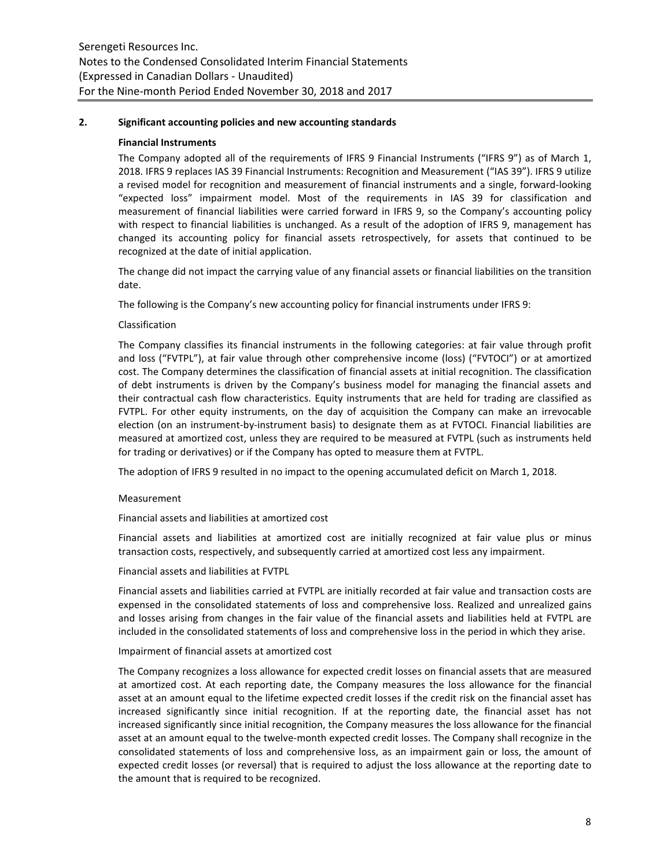## **2. Significant accounting policies and new accounting standards**

## **Financial Instruments**

The Company adopted all of the requirements of IFRS 9 Financial Instruments ("IFRS 9") as of March 1, 2018. IFRS 9 replaces IAS 39 Financial Instruments: Recognition and Measurement ("IAS 39"). IFRS 9 utilize a revised model for recognition and measurement of financial instruments and a single, forward-looking "expected loss" impairment model. Most of the requirements in IAS 39 for classification and measurement of financial liabilities were carried forward in IFRS 9, so the Company's accounting policy with respect to financial liabilities is unchanged. As a result of the adoption of IFRS 9, management has changed its accounting policy for financial assets retrospectively, for assets that continued to be recognized at the date of initial application.

The change did not impact the carrying value of any financial assets or financial liabilities on the transition date.

The following is the Company's new accounting policy for financial instruments under IFRS 9:

# Classification

The Company classifies its financial instruments in the following categories: at fair value through profit and loss ("FVTPL"), at fair value through other comprehensive income (loss) ("FVTOCI") or at amortized cost. The Company determines the classification of financial assets at initial recognition. The classification of debt instruments is driven by the Company's business model for managing the financial assets and their contractual cash flow characteristics. Equity instruments that are held for trading are classified as FVTPL. For other equity instruments, on the day of acquisition the Company can make an irrevocable election (on an instrument-by-instrument basis) to designate them as at FVTOCI. Financial liabilities are measured at amortized cost, unless they are required to be measured at FVTPL (such as instruments held for trading or derivatives) or if the Company has opted to measure them at FVTPL.

The adoption of IFRS 9 resulted in no impact to the opening accumulated deficit on March 1, 2018.

#### Measurement

Financial assets and liabilities at amortized cost

Financial assets and liabilities at amortized cost are initially recognized at fair value plus or minus transaction costs, respectively, and subsequently carried at amortized cost less any impairment.

Financial assets and liabilities at FVTPL

Financial assets and liabilities carried at FVTPL are initially recorded at fair value and transaction costs are expensed in the consolidated statements of loss and comprehensive loss. Realized and unrealized gains and losses arising from changes in the fair value of the financial assets and liabilities held at FVTPL are included in the consolidated statements of loss and comprehensive loss in the period in which they arise.

#### Impairment of financial assets at amortized cost

The Company recognizes a loss allowance for expected credit losses on financial assets that are measured at amortized cost. At each reporting date, the Company measures the loss allowance for the financial asset at an amount equal to the lifetime expected credit losses if the credit risk on the financial asset has increased significantly since initial recognition. If at the reporting date, the financial asset has not increased significantly since initial recognition, the Company measures the loss allowance for the financial asset at an amount equal to the twelve-month expected credit losses. The Company shall recognize in the consolidated statements of loss and comprehensive loss, as an impairment gain or loss, the amount of expected credit losses (or reversal) that is required to adjust the loss allowance at the reporting date to the amount that is required to be recognized.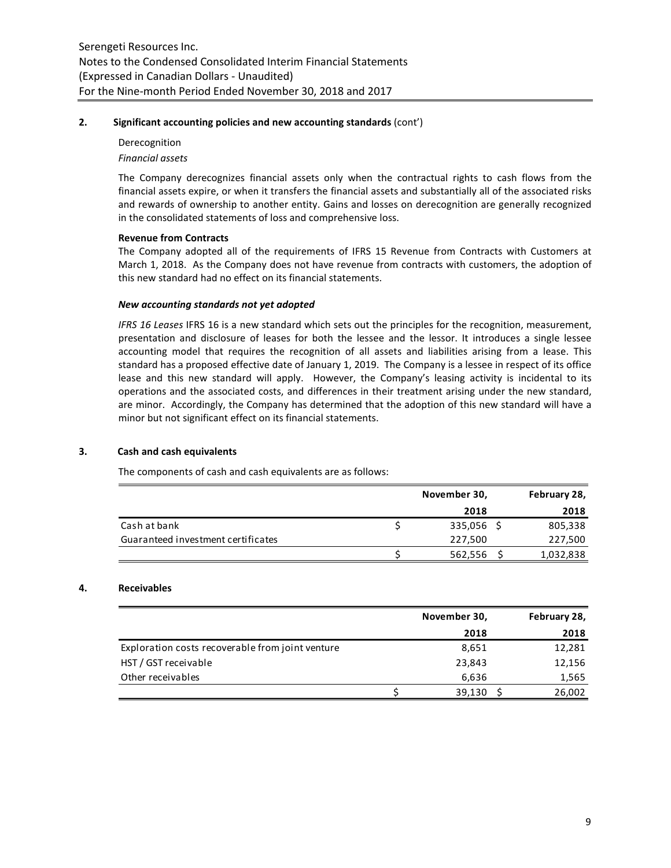## **2. Significant accounting policies and new accounting standards** (cont')

# Derecognition *Financial assets*

The Company derecognizes financial assets only when the contractual rights to cash flows from the financial assets expire, or when it transfers the financial assets and substantially all of the associated risks and rewards of ownership to another entity. Gains and losses on derecognition are generally recognized in the consolidated statements of loss and comprehensive loss.

# **Revenue from Contracts**

The Company adopted all of the requirements of IFRS 15 Revenue from Contracts with Customers at March 1, 2018.As the Company does not have revenue from contracts with customers, the adoption of this new standard had no effect on its financial statements.

## *New accounting standards not yet adopted*

*IFRS 16 Leases* IFRS 16 is a new standard which sets out the principles for the recognition, measurement, presentation and disclosure of leases for both the lessee and the lessor. It introduces a single lessee accounting model that requires the recognition of all assets and liabilities arising from a lease. This standard has a proposed effective date of January 1, 2019. The Company is a lessee in respect of its office lease and this new standard will apply. However, the Company's leasing activity is incidental to its operations and the associated costs, and differences in their treatment arising under the new standard, are minor. Accordingly, the Company has determined that the adoption of this new standard will have a minor but not significant effect on its financial statements.

# **3. Cash and cash equivalents**

The components of cash and cash equivalents are as follows:

|                                    | November 30, | February 28, |
|------------------------------------|--------------|--------------|
|                                    | 2018         | 2018         |
| Cash at bank                       | 335,056 \$   | 805,338      |
| Guaranteed investment certificates | 227,500      | 227,500      |
|                                    | 562,556      | 1,032,838    |

#### **4. Receivables**

|                                                  | November 30, | February 28, |
|--------------------------------------------------|--------------|--------------|
|                                                  | 2018         | 2018         |
| Exploration costs recoverable from joint venture | 8,651        | 12,281       |
| HST / GST receivable                             | 23,843       | 12,156       |
| Other receivables                                | 6,636        | 1,565        |
|                                                  | 39,130       | 26,002       |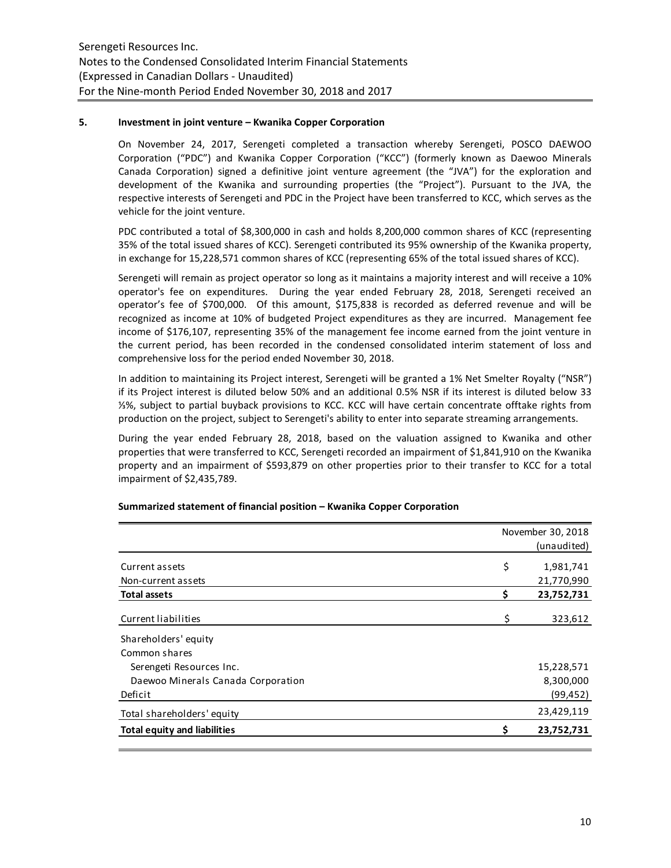## **5. Investment in joint venture – Kwanika Copper Corporation**

On November 24, 2017, Serengeti completed a transaction whereby Serengeti, POSCO DAEWOO Corporation ("PDC") and Kwanika Copper Corporation ("KCC") (formerly known as Daewoo Minerals Canada Corporation) signed a definitive joint venture agreement (the "JVA") for the exploration and development of the Kwanika and surrounding properties (the "Project"). Pursuant to the JVA, the respective interests of Serengeti and PDC in the Project have been transferred to KCC, which serves as the vehicle for the joint venture.

PDC contributed a total of \$8,300,000 in cash and holds 8,200,000 common shares of KCC (representing 35% of the total issued shares of KCC). Serengeti contributed its 95% ownership of the Kwanika property, in exchange for 15,228,571 common shares of KCC (representing 65% of the total issued shares of KCC).

Serengeti will remain as project operator so long as it maintains a majority interest and will receive a 10% operator's fee on expenditures. During the year ended February 28, 2018, Serengeti received an operator's fee of \$700,000. Of this amount, \$175,838 is recorded as deferred revenue and will be recognized as income at 10% of budgeted Project expenditures as they are incurred. Management fee income of \$176,107, representing 35% of the management fee income earned from the joint venture in the current period, has been recorded in the condensed consolidated interim statement of loss and comprehensive loss for the period ended November 30, 2018.

In addition to maintaining its Project interest, Serengeti will be granted a 1% Net Smelter Royalty ("NSR") if its Project interest is diluted below 50% and an additional 0.5% NSR if its interest is diluted below 33 ⅓%, subject to partial buyback provisions to KCC. KCC will have certain concentrate offtake rights from production on the project, subject to Serengeti's ability to enter into separate streaming arrangements.

During the year ended February 28, 2018, based on the valuation assigned to Kwanika and other properties that were transferred to KCC, Serengeti recorded an impairment of \$1,841,910 on the Kwanika property and an impairment of \$593,879 on other properties prior to their transfer to KCC for a total impairment of \$2,435,789.

|                                     |    | November 30, 2018 |
|-------------------------------------|----|-------------------|
|                                     |    | (unaudited)       |
| Current assets                      | \$ | 1,981,741         |
| Non-current assets                  |    | 21,770,990        |
| <b>Total assets</b>                 | Ś  | 23,752,731        |
| Current liabilities                 | \$ | 323,612           |
| Shareholders' equity                |    |                   |
| Common shares                       |    |                   |
| Serengeti Resources Inc.            |    | 15,228,571        |
| Daewoo Minerals Canada Corporation  |    | 8,300,000         |
| Deficit                             |    | (99, 452)         |
| Total shareholders' equity          |    | 23,429,119        |
| <b>Total equity and liabilities</b> |    | 23,752,731        |
|                                     |    |                   |

#### **Summarized statement of financial position – Kwanika Copper Corporation**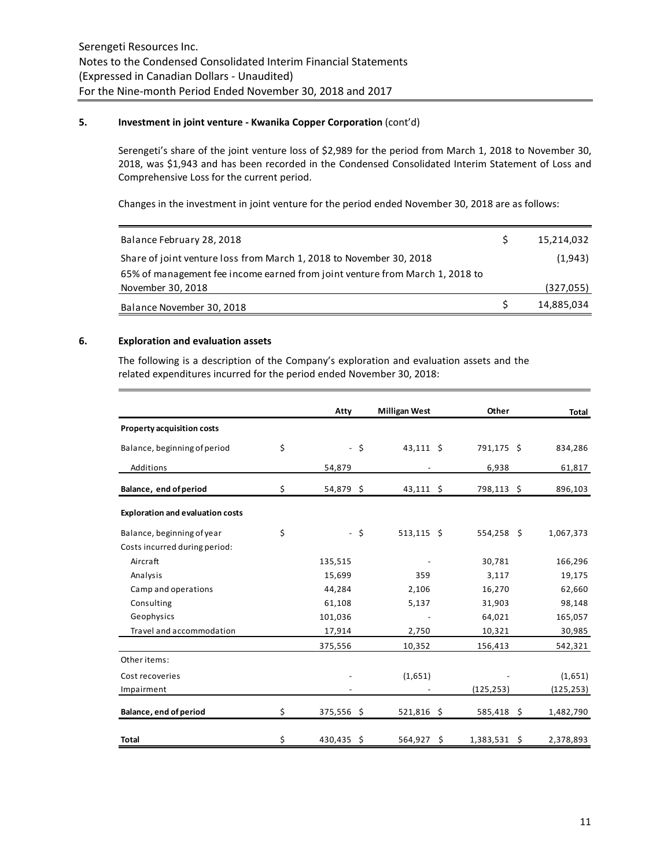## **5. Investment in joint venture - Kwanika Copper Corporation** (cont'd)

Serengeti's share of the joint venture loss of \$2,989 for the period from March 1, 2018 to November 30, 2018, was \$1,943 and has been recorded in the Condensed Consolidated Interim Statement of Loss and Comprehensive Loss for the current period.

Changes in the investment in joint venture for the period ended November 30, 2018 are as follows:

| Balance February 28, 2018                                                    | 15,214,032 |
|------------------------------------------------------------------------------|------------|
| Share of joint venture loss from March 1, 2018 to November 30, 2018          | (1,943)    |
| 65% of management fee income earned from joint venture from March 1, 2018 to |            |
| November 30, 2018                                                            | (327,055)  |
| Balance November 30, 2018                                                    | 14,885,034 |

# **6. Exploration and evaluation assets**

The following is a description of the Company's exploration and evaluation assets and the related expenditures incurred for the period ended November 30, 2018:

|                                         | Atty               |      | <b>Milligan West</b> | Other                | Total      |
|-----------------------------------------|--------------------|------|----------------------|----------------------|------------|
| <b>Property acquisition costs</b>       |                    |      |                      |                      |            |
| Balance, beginning of period            | \$                 | - \$ | 43,111 \$            | 791,175 \$           | 834,286    |
| Additions                               | 54,879             |      |                      | 6,938                | 61,817     |
| Balance, end of period                  | \$<br>54,879 \$    |      | $43,111$ \$          | 798,113 \$           | 896,103    |
| <b>Exploration and evaluation costs</b> |                    |      |                      |                      |            |
| Balance, beginning of year              | \$                 | - \$ | $513,115$ \$         | $554,258$ \$         | 1,067,373  |
| Costs incurred during period:           |                    |      |                      |                      |            |
| Aircraft                                | 135,515            |      |                      | 30,781               | 166,296    |
| Analysis                                | 15,699             |      | 359                  | 3,117                | 19,175     |
| Camp and operations                     | 44,284             |      | 2,106                | 16,270               | 62,660     |
| Consulting                              | 61,108             |      | 5,137                | 31,903               | 98,148     |
| Geophysics                              | 101,036            |      |                      | 64,021               | 165,057    |
| Travel and accommodation                | 17,914             |      | 2,750                | 10,321               | 30,985     |
|                                         | 375,556            |      | 10,352               | 156,413              | 542,321    |
| Other items:                            |                    |      |                      |                      |            |
| Cost recoveries                         |                    |      | (1,651)              |                      | (1,651)    |
| Impairment                              |                    |      |                      | (125, 253)           | (125, 253) |
| Balance, end of period                  | \$<br>$375,556$ \$ |      | $521,816$ \$         | $585,418$ \$         | 1,482,790  |
| <b>Total</b>                            | \$<br>430,435 \$   |      | 564,927              | \$<br>$1,383,531$ \$ | 2,378,893  |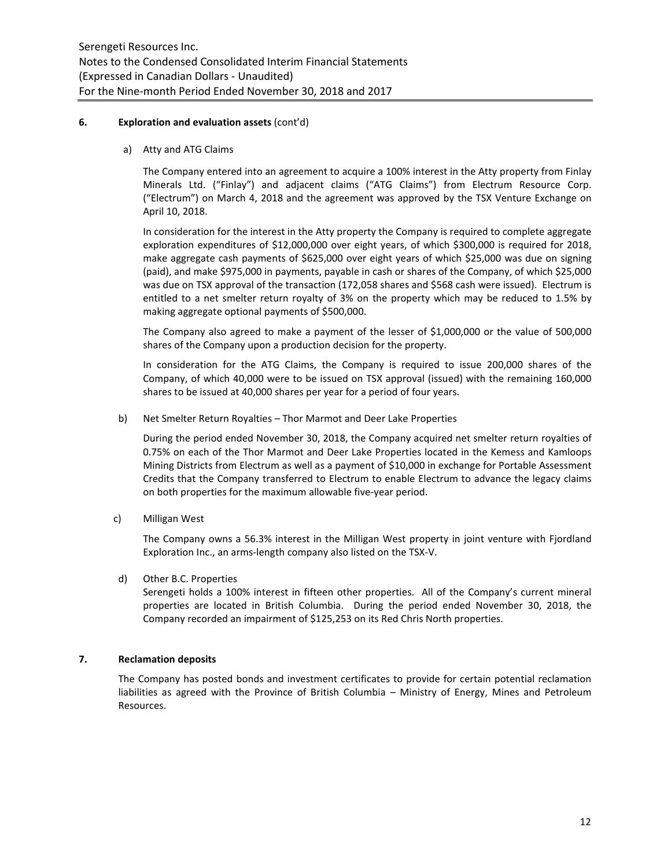## **6. Exploration and evaluation assets** (cont'd)

a) Atty and ATG Claims

The Company entered into an agreement to acquire a 100% interest in the Atty property from Finlay Minerals Ltd. ("Finlay") and adjacent claims ("ATG Claims") from Electrum Resource Corp. ("Electrum") on March 4, 2018 and the agreement was approved by the TSX Venture Exchange on April 10, 2018.

In consideration for the interest in the Atty property the Company is required to complete aggregate exploration expenditures of \$12,000,000 over eight years, of which \$300,000 is required for 2018, make aggregate cash payments of \$625,000 over eight years of which \$25,000 was due on signing (paid), and make \$975,000 in payments, payable in cash or shares of the Company, of which \$25,000 was due on TSX approval of the transaction (172,058 shares and \$568 cash were issued). Electrum is entitled to a net smelter return royalty of 3% on the property which may be reduced to 1.5% by making aggregate optional payments of \$500,000.

The Company also agreed to make a payment of the lesser of \$1,000,000 or the value of 500,000 shares of the Company upon a production decision for the property.

In consideration for the ATG Claims, the Company is required to issue 200,000 shares of the Company, of which 40,000 were to be issued on TSX approval (issued) with the remaining 160,000 shares to be issued at 40,000 shares per year for a period of four years.

b) Net Smelter Return Royalties – Thor Marmot and Deer Lake Properties

During the period ended November 30, 2018, the Company acquired net smelter return royalties of 0.75% on each of the Thor Marmot and Deer Lake Properties located in the Kemess and Kamloops Mining Districts from Electrum as well as a payment of \$10,000 in exchange for Portable Assessment Credits that the Company transferred to Electrum to enable Electrum to advance the legacy claims on both properties for the maximum allowable five-year period.

c) Milligan West

The Company owns a 56.3% interest in the Milligan West property in joint venture with Fjordland Exploration Inc., an arms-length company also listed on the TSX-V.

d) Other B.C. Properties

Serengeti holds a 100% interest in fifteen other properties. All of the Company's current mineral properties are located in British Columbia. During the period ended November 30, 2018, the Company recorded an impairment of \$125,253 on its Red Chris North properties.

# **7. Reclamation deposits**

The Company has posted bonds and investment certificates to provide for certain potential reclamation liabilities as agreed with the Province of British Columbia – Ministry of Energy, Mines and Petroleum Resources.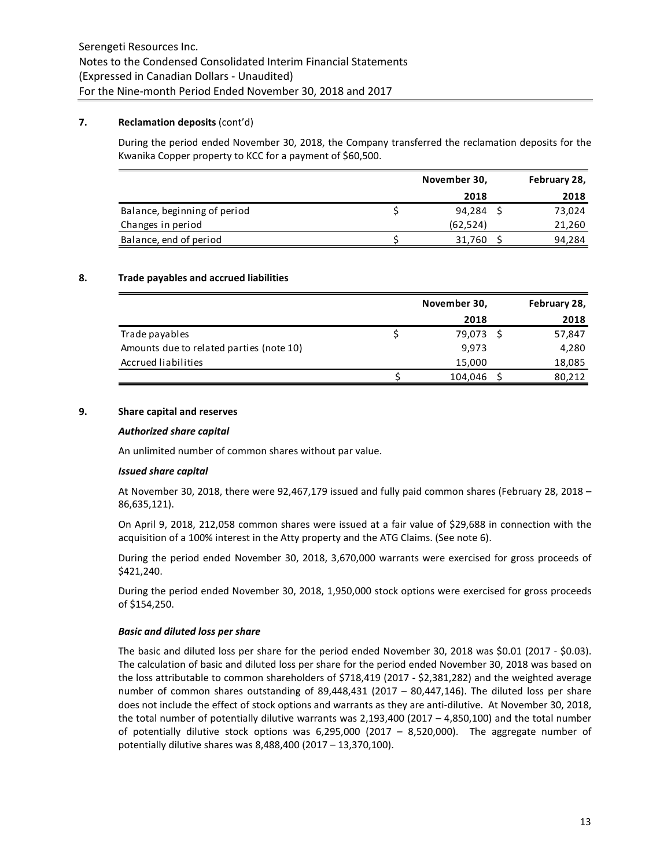## **7. Reclamation deposits** (cont'd)

During the period ended November 30, 2018, the Company transferred the reclamation deposits for the Kwanika Copper property to KCC for a payment of \$60,500.

|                              | November 30, | February 28, |
|------------------------------|--------------|--------------|
|                              | 2018         | 2018         |
| Balance, beginning of period | 94,284       | 73,024       |
| Changes in period            | (62, 524)    | 21,260       |
| Balance, end of period       | 31,760       | 94,284       |

## **8. Trade payables and accrued liabilities**

|                                          | November 30, | February 28, |
|------------------------------------------|--------------|--------------|
|                                          | 2018         | 2018         |
| Trade payables                           | 79,073       | 57,847       |
| Amounts due to related parties (note 10) | 9,973        | 4,280        |
| Accrued liabilities                      | 15,000       | 18,085       |
|                                          | 104,046      | 80,212       |

# **9. Share capital and reserves**

#### *Authorized share capital*

An unlimited number of common shares without par value.

#### *Issued share capital*

At November 30, 2018, there were 92,467,179 issued and fully paid common shares (February 28, 2018 – 86,635,121).

On April 9, 2018, 212,058 common shares were issued at a fair value of \$29,688 in connection with the acquisition of a 100% interest in the Atty property and the ATG Claims. (See note 6).

During the period ended November 30, 2018, 3,670,000 warrants were exercised for gross proceeds of \$421,240.

During the period ended November 30, 2018, 1,950,000 stock options were exercised for gross proceeds of \$154,250.

#### *Basic and diluted loss per share*

The basic and diluted loss per share for the period ended November 30, 2018 was \$0.01 (2017 - \$0.03). The calculation of basic and diluted loss per share for the period ended November 30, 2018 was based on the loss attributable to common shareholders of \$718,419 (2017 - \$2,381,282) and the weighted average number of common shares outstanding of 89,448,431 (2017 – 80,447,146). The diluted loss per share does not include the effect of stock options and warrants as they are anti-dilutive. At November 30, 2018, the total number of potentially dilutive warrants was 2,193,400 (2017 – 4,850,100) and the total number of potentially dilutive stock options was 6,295,000 (2017 – 8,520,000). The aggregate number of potentially dilutive shares was 8,488,400 (2017 – 13,370,100).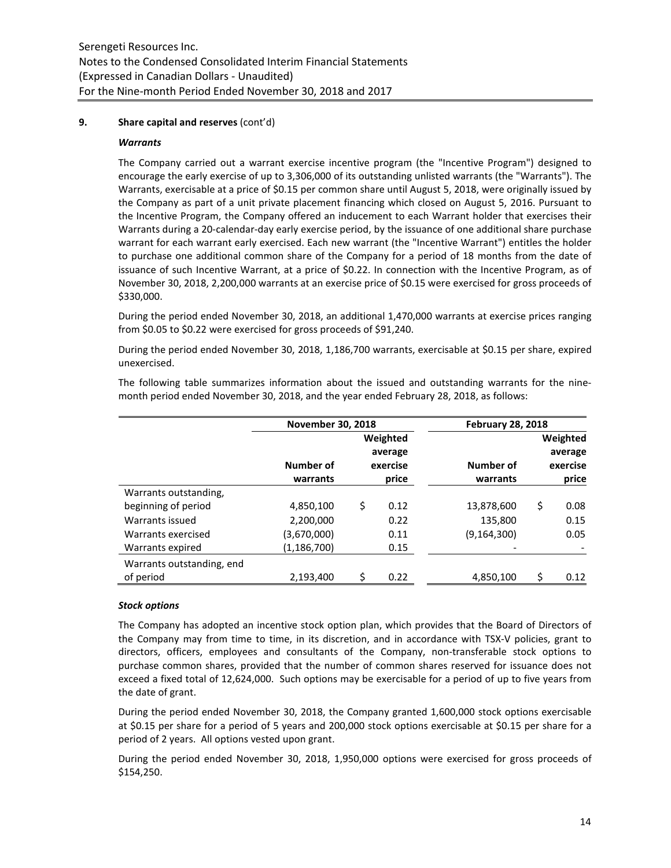## **9. Share capital and reserves** (cont'd)

#### *Warrants*

The Company carried out a warrant exercise incentive program (the "Incentive Program") designed to encourage the early exercise of up to 3,306,000 of its outstanding unlisted warrants (the "Warrants"). The Warrants, exercisable at a price of \$0.15 per common share until August 5, 2018, were originally issued by the Company as part of a unit private placement financing which closed on August 5, 2016. Pursuant to the Incentive Program, the Company offered an inducement to each Warrant holder that exercises their Warrants during a 20-calendar-day early exercise period, by the issuance of one additional share purchase warrant for each warrant early exercised. Each new warrant (the "Incentive Warrant") entitles the holder to purchase one additional common share of the Company for a period of 18 months from the date of issuance of such Incentive Warrant, at a price of \$0.22. In connection with the Incentive Program, as of November 30, 2018, 2,200,000 warrants at an exercise price of \$0.15 were exercised for gross proceeds of \$330,000.

During the period ended November 30, 2018, an additional 1,470,000 warrants at exercise prices ranging from \$0.05 to \$0.22 were exercised for gross proceeds of \$91,240.

During the period ended November 30, 2018, 1,186,700 warrants, exercisable at \$0.15 per share, expired unexercised.

|                       | <b>November 30, 2018</b> |          | <b>February 28, 2018</b> |          |
|-----------------------|--------------------------|----------|--------------------------|----------|
|                       |                          | Weighted |                          | Weighted |
|                       |                          | average  |                          | average  |
|                       | Number of                | exercise | Number of                | exercise |
|                       | warrants                 | price    | warrants                 | price    |
| Warrants outstanding, |                          |          |                          |          |
| beginning of period   | 4,850,100                | 0.12     | 13,878,600               | 0.08     |

Warrants issued 2.200.000 0.22 135.800 0.15 Warrants exercised (3,670,000) 0.11 (9,164,300) 0.05

2,193,400 \$ 0.22 4,850,100 \$ 0.12

Warrants expired (1,186,700) 0.15

The following table summarizes information about the issued and outstanding warrants for the ninemonth period ended November 30, 2018, and the year ended February 28, 2018, as follows:

# *Stock options*

of period

Warrants outstanding, end

The Company has adopted an incentive stock option plan, which provides that the Board of Directors of the Company may from time to time, in its discretion, and in accordance with TSX-V policies, grant to directors, officers, employees and consultants of the Company, non-transferable stock options to purchase common shares, provided that the number of common shares reserved for issuance does not exceed a fixed total of 12,624,000. Such options may be exercisable for a period of up to five years from the date of grant.

During the period ended November 30, 2018, the Company granted 1,600,000 stock options exercisable at \$0.15 per share for a period of 5 years and 200,000 stock options exercisable at \$0.15 per share for a period of 2 years. All options vested upon grant.

During the period ended November 30, 2018, 1,950,000 options were exercised for gross proceeds of \$154,250.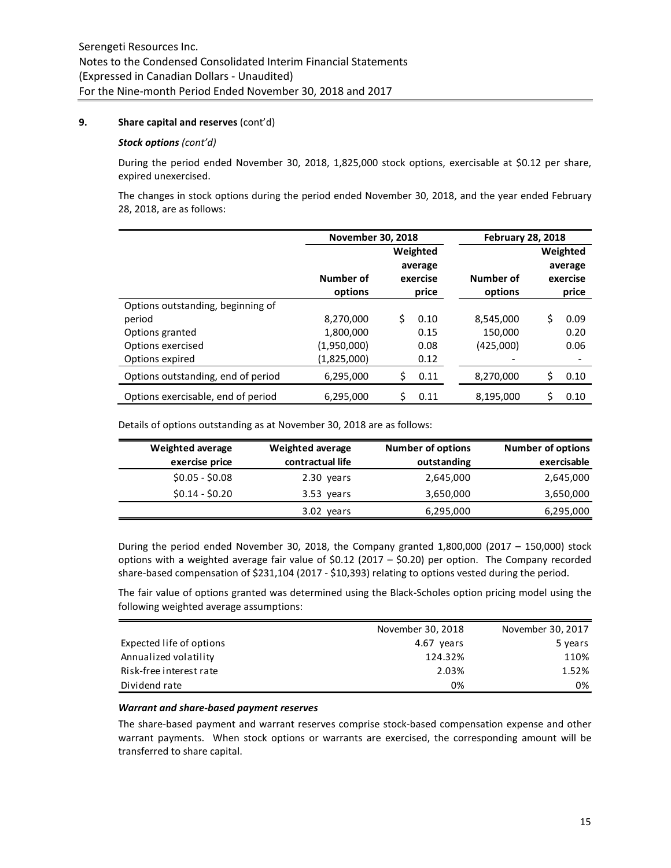## **9. Share capital and reserves** (cont'd)

#### *Stock options (cont'd)*

During the period ended November 30, 2018, 1,825,000 stock options, exercisable at \$0.12 per share, expired unexercised.

The changes in stock options during the period ended November 30, 2018, and the year ended February 28, 2018, are as follows:

|                                    | <b>November 30, 2018</b> |                                          |      |                      | <b>February 28, 2018</b>                 |      |  |  |
|------------------------------------|--------------------------|------------------------------------------|------|----------------------|------------------------------------------|------|--|--|
|                                    |                          | Weighted<br>average<br>exercise<br>price |      |                      | Weighted<br>average<br>exercise<br>price |      |  |  |
|                                    | Number of<br>options     |                                          |      | Number of<br>options |                                          |      |  |  |
| Options outstanding, beginning of  |                          |                                          |      |                      |                                          |      |  |  |
| period                             | 8,270,000                | Ś                                        | 0.10 | 8,545,000            | Ś                                        | 0.09 |  |  |
| Options granted                    | 1,800,000                |                                          | 0.15 | 150,000              |                                          | 0.20 |  |  |
| Options exercised                  | (1,950,000)              |                                          | 0.08 | (425,000)            |                                          | 0.06 |  |  |
| Options expired                    | (1,825,000)              |                                          | 0.12 |                      |                                          |      |  |  |
| Options outstanding, end of period | 6,295,000                | Ś                                        | 0.11 | 8,270,000            | Ś                                        | 0.10 |  |  |
| Options exercisable, end of period | 6,295,000                |                                          | 0.11 | 8,195,000            | Ś                                        | 0.10 |  |  |

Details of options outstanding as at November 30, 2018 are as follows:

| Weighted average<br>exercise price | Weighted average<br>contractual life | <b>Number of options</b><br>outstanding | <b>Number of options</b><br>exercisable |
|------------------------------------|--------------------------------------|-----------------------------------------|-----------------------------------------|
| $$0.05 - $0.08$$                   | 2.30 years                           | 2,645,000                               | 2,645,000                               |
| $$0.14 - $0.20$                    | 3.53 years                           | 3,650,000                               | 3,650,000                               |
|                                    | 3.02 years                           | 6,295,000                               | 6,295,000                               |

During the period ended November 30, 2018, the Company granted 1,800,000 (2017 – 150,000) stock options with a weighted average fair value of \$0.12 (2017 – \$0.20) per option. The Company recorded share-based compensation of \$231,104 (2017 - \$10,393) relating to options vested during the period.

The fair value of options granted was determined using the Black-Scholes option pricing model using the following weighted average assumptions:

|                          | November 30, 2018 | November 30, 2017 |
|--------------------------|-------------------|-------------------|
| Expected life of options | 4.67 years        | 5 years           |
| Annualized volatility    | 124.32%           | 110%              |
| Risk-free interest rate  | 2.03%             | 1.52%             |
| Dividend rate            | 0%                | 0%                |

#### *Warrant and share-based payment reserves*

The share-based payment and warrant reserves comprise stock-based compensation expense and other warrant payments. When stock options or warrants are exercised, the corresponding amount will be transferred to share capital.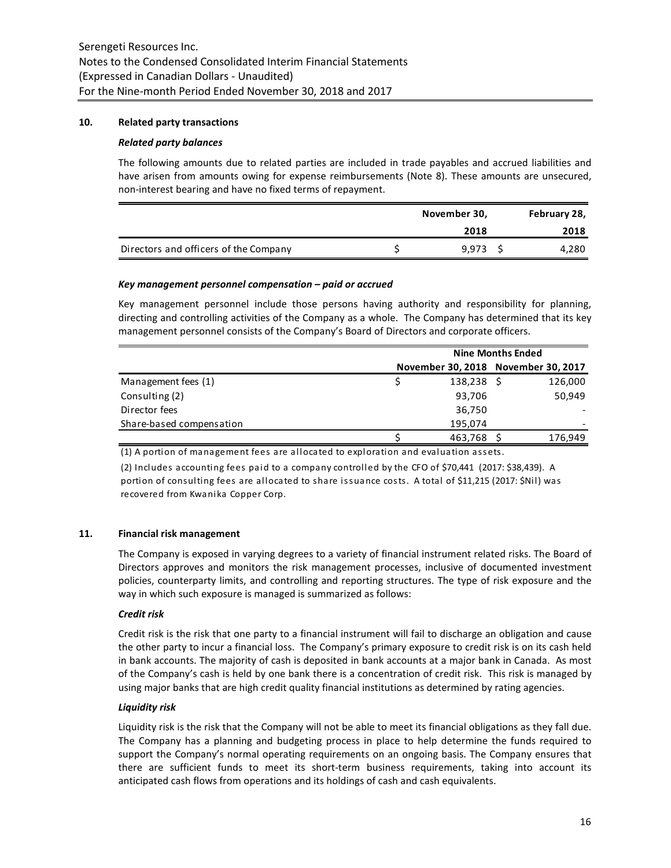## **10. Related party transactions**

## *Related party balances*

The following amounts due to related parties are included in trade payables and accrued liabilities and have arisen from amounts owing for expense reimbursements (Note 8). These amounts are unsecured, non-interest bearing and have no fixed terms of repayment.

|                                       | November 30, |  | February 28, |
|---------------------------------------|--------------|--|--------------|
|                                       | 2018         |  | 2018         |
| Directors and officers of the Company | 9.973        |  | 4,280        |

## *Key management personnel compensation – paid or accrued*

Key management personnel include those persons having authority and responsibility for planning, directing and controlling activities of the Company as a whole. The Company has determined that its key management personnel consists of the Company's Board of Directors and corporate officers.

|                          | <b>Nine Months Ended</b>            |  |         |  |
|--------------------------|-------------------------------------|--|---------|--|
|                          | November 30, 2018 November 30, 2017 |  |         |  |
| Management fees (1)      | 138,238 \$                          |  | 126,000 |  |
| Consulting (2)           | 93,706                              |  | 50.949  |  |
| Director fees            | 36,750                              |  |         |  |
| Share-based compensation | 195,074                             |  |         |  |
|                          | 463,768                             |  | 176,949 |  |

(1) A portion of management fees are allocated to exploration and evaluation ass ets .

(2) Includes accounting fees paid to a company controlled by the CFO of \$70,441 (2017: \$38,439). A portion of consulting fees are allocated to share issuance costs. A total of \$11,215 (2017: \$Nil) was recovered from Kwanika Copper Corp.

# **11. Financial risk management**

The Company is exposed in varying degrees to a variety of financial instrument related risks. The Board of Directors approves and monitors the risk management processes, inclusive of documented investment policies, counterparty limits, and controlling and reporting structures. The type of risk exposure and the way in which such exposure is managed is summarized as follows:

# *Credit risk*

Credit risk is the risk that one party to a financial instrument will fail to discharge an obligation and cause the other party to incur a financial loss. The Company's primary exposure to credit risk is on its cash held in bank accounts. The majority of cash is deposited in bank accounts at a major bank in Canada. As most of the Company's cash is held by one bank there is a concentration of credit risk. This risk is managed by using major banks that are high credit quality financial institutions as determined by rating agencies.

# *Liquidity risk*

Liquidity risk is the risk that the Company will not be able to meet its financial obligations as they fall due. The Company has a planning and budgeting process in place to help determine the funds required to support the Company's normal operating requirements on an ongoing basis. The Company ensures that there are sufficient funds to meet its short-term business requirements, taking into account its anticipated cash flows from operations and its holdings of cash and cash equivalents.